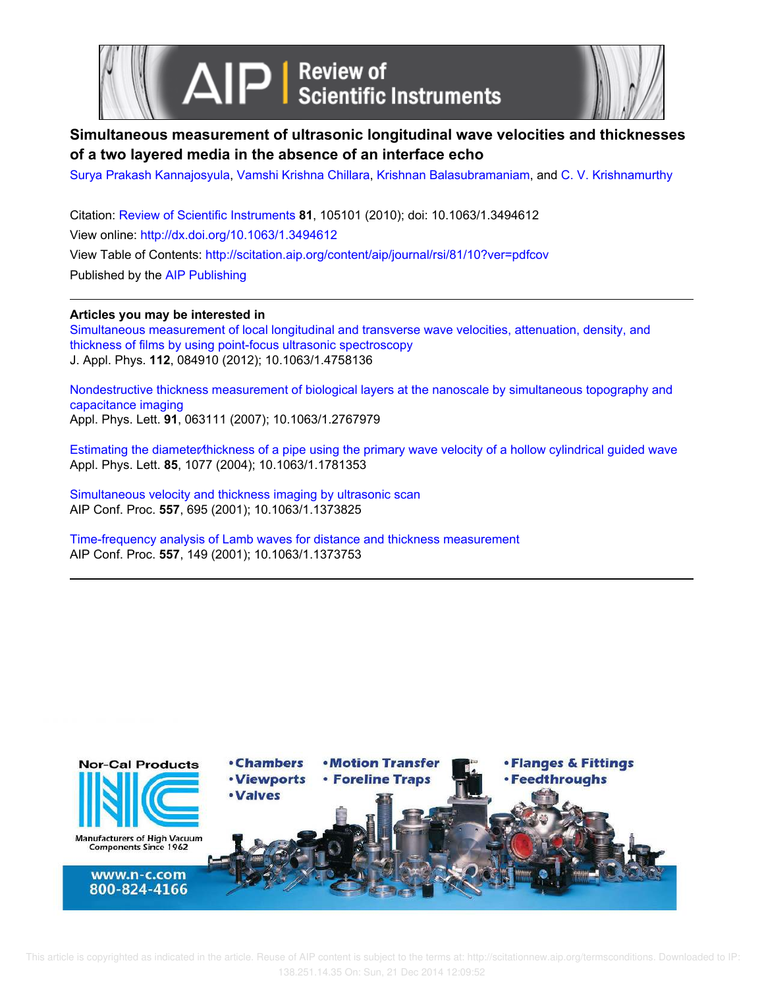



# **Simultaneous measurement of ultrasonic longitudinal wave velocities and thicknesses of a two layered media in the absence of an interface echo**

Surya Prakash Kannajosyula, Vamshi Krishna Chillara, Krishnan Balasubramaniam, and C. V. Krishnamurthy

Citation: Review of Scientific Instruments **81**, 105101 (2010); doi: 10.1063/1.3494612 View online: http://dx.doi.org/10.1063/1.3494612 View Table of Contents: http://scitation.aip.org/content/aip/journal/rsi/81/10?ver=pdfcov Published by the AIP Publishing

**Articles you may be interested in**

Simultaneous measurement of local longitudinal and transverse wave velocities, attenuation, density, and thickness of films by using point-focus ultrasonic spectroscopy J. Appl. Phys. **112**, 084910 (2012); 10.1063/1.4758136

Nondestructive thickness measurement of biological layers at the nanoscale by simultaneous topography and capacitance imaging Appl. Phys. Lett. **91**, 063111 (2007); 10.1063/1.2767979

Estimating the diameter∕thickness of a pipe using the primary wave velocity of a hollow cylindrical guided wave Appl. Phys. Lett. **85**, 1077 (2004); 10.1063/1.1781353

Simultaneous velocity and thickness imaging by ultrasonic scan AIP Conf. Proc. **557**, 695 (2001); 10.1063/1.1373825

Time-frequency analysis of Lamb waves for distance and thickness measurement AIP Conf. Proc. **557**, 149 (2001); 10.1063/1.1373753



 This article is copyrighted as indicated in the article. Reuse of AIP content is subject to the terms at: http://scitationnew.aip.org/termsconditions. Downloaded to IP: 138.251.14.35 On: Sun, 21 Dec 2014 12:09:52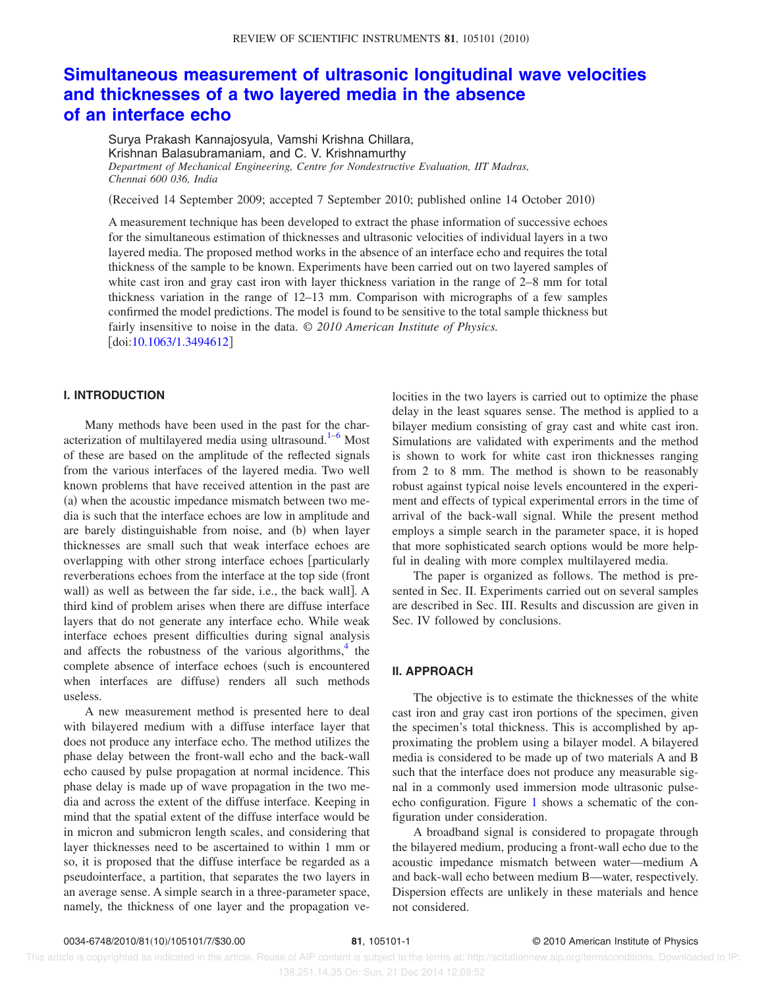# **Simultaneous measurement of ultrasonic longitudinal wave velocities and thicknesses of a two layered media in the absence of an interface echo**

Surya Prakash Kannajosyula, Vamshi Krishna Chillara, Krishnan Balasubramaniam, and C. V. Krishnamurthy *Department of Mechanical Engineering, Centre for Nondestructive Evaluation, IIT Madras, Chennai 600 036, India*

(Received 14 September 2009; accepted 7 September 2010; published online 14 October 2010)

A measurement technique has been developed to extract the phase information of successive echoes for the simultaneous estimation of thicknesses and ultrasonic velocities of individual layers in a two layered media. The proposed method works in the absence of an interface echo and requires the total thickness of the sample to be known. Experiments have been carried out on two layered samples of white cast iron and gray cast iron with layer thickness variation in the range of 2–8 mm for total thickness variation in the range of 12–13 mm. Comparison with micrographs of a few samples confirmed the model predictions. The model is found to be sensitive to the total sample thickness but fairly insensitive to noise in the data. *© 2010 American Institute of Physics.*  $\left[$ doi:10.1063/1.3494612 $\right]$ 

#### **I. INTRODUCTION**

Many methods have been used in the past for the characterization of multilayered media using ultrasound.<sup>1–6</sup> Most of these are based on the amplitude of the reflected signals from the various interfaces of the layered media. Two well known problems that have received attention in the past are (a) when the acoustic impedance mismatch between two media is such that the interface echoes are low in amplitude and are barely distinguishable from noise, and (b) when layer thicknesses are small such that weak interface echoes are overlapping with other strong interface echoes [particularly reverberations echoes from the interface at the top side (front wall) as well as between the far side, i.e., the back wall]. A third kind of problem arises when there are diffuse interface layers that do not generate any interface echo. While weak interface echoes present difficulties during signal analysis and affects the robustness of the various algorithms,<sup>4</sup> the complete absence of interface echoes (such is encountered when interfaces are diffuse) renders all such methods useless.

A new measurement method is presented here to deal with bilayered medium with a diffuse interface layer that does not produce any interface echo. The method utilizes the phase delay between the front-wall echo and the back-wall echo caused by pulse propagation at normal incidence. This phase delay is made up of wave propagation in the two media and across the extent of the diffuse interface. Keeping in mind that the spatial extent of the diffuse interface would be in micron and submicron length scales, and considering that layer thicknesses need to be ascertained to within 1 mm or so, it is proposed that the diffuse interface be regarded as a pseudointerface, a partition, that separates the two layers in an average sense. A simple search in a three-parameter space, namely, the thickness of one layer and the propagation velocities in the two layers is carried out to optimize the phase delay in the least squares sense. The method is applied to a bilayer medium consisting of gray cast and white cast iron. Simulations are validated with experiments and the method is shown to work for white cast iron thicknesses ranging from 2 to 8 mm. The method is shown to be reasonably robust against typical noise levels encountered in the experiment and effects of typical experimental errors in the time of arrival of the back-wall signal. While the present method employs a simple search in the parameter space, it is hoped that more sophisticated search options would be more helpful in dealing with more complex multilayered media.

The paper is organized as follows. The method is presented in Sec. II. Experiments carried out on several samples are described in Sec. III. Results and discussion are given in Sec. IV followed by conclusions.

#### **II. APPROACH**

The objective is to estimate the thicknesses of the white cast iron and gray cast iron portions of the specimen, given the specimen's total thickness. This is accomplished by approximating the problem using a bilayer model. A bilayered media is considered to be made up of two materials A and B such that the interface does not produce any measurable signal in a commonly used immersion mode ultrasonic pulseecho configuration. Figure 1 shows a schematic of the configuration under consideration.

A broadband signal is considered to propagate through the bilayered medium, producing a front-wall echo due to the acoustic impedance mismatch between water—medium A and back-wall echo between medium B—water, respectively. Dispersion effects are unlikely in these materials and hence not considered.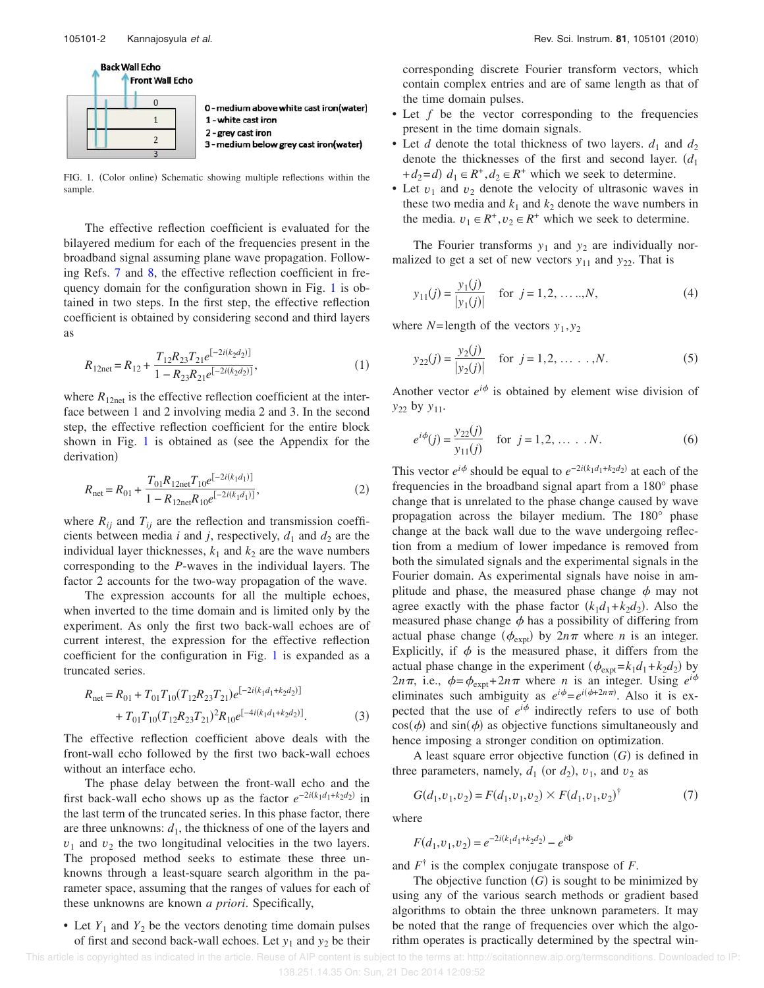

FIG. 1. (Color online) Schematic showing multiple reflections within the sample.

The effective reflection coefficient is evaluated for the bilayered medium for each of the frequencies present in the broadband signal assuming plane wave propagation. Following Refs. 7 and 8, the effective reflection coefficient in frequency domain for the configuration shown in Fig. 1 is obtained in two steps. In the first step, the effective reflection coefficient is obtained by considering second and third layers as

$$
R_{12net} = R_{12} + \frac{T_{12}R_{23}T_{21}e^{[-2i(k_2d_2)]}}{1 - R_{23}R_{21}e^{[-2i(k_2d_2)]}},
$$
\n(1)

where  $R_{12net}$  is the effective reflection coefficient at the interface between 1 and 2 involving media 2 and 3. In the second step, the effective reflection coefficient for the entire block shown in Fig. 1 is obtained as (see the Appendix for the derivation

$$
R_{\text{net}} = R_{01} + \frac{T_{01}R_{12\text{net}}T_{10}e^{[-2i(k_1d_1)]}}{1 - R_{12\text{net}}R_{10}e^{[-2i(k_1d_1)]}},
$$
(2)

where  $R_{ij}$  and  $T_{ij}$  are the reflection and transmission coefficients between media *i* and *j*, respectively,  $d_1$  and  $d_2$  are the individual layer thicknesses,  $k_1$  and  $k_2$  are the wave numbers corresponding to the *P*-waves in the individual layers. The factor 2 accounts for the two-way propagation of the wave.

The expression accounts for all the multiple echoes, when inverted to the time domain and is limited only by the experiment. As only the first two back-wall echoes are of current interest, the expression for the effective reflection coefficient for the configuration in Fig. 1 is expanded as a truncated series.

$$
R_{\text{net}} = R_{01} + T_{01}T_{10}(T_{12}R_{23}T_{21})e^{[-2i(k_1d_1 + k_2d_2)]}
$$
  
+ 
$$
T_{01}T_{10}(T_{12}R_{23}T_{21})^2R_{10}e^{[-4i(k_1d_1 + k_2d_2)]}.
$$
 (3)

The effective reflection coefficient above deals with the front-wall echo followed by the first two back-wall echoes without an interface echo.

The phase delay between the front-wall echo and the first back-wall echo shows up as the factor  $e^{-2i(k_1d_1+k_2d_2)}$  in the last term of the truncated series. In this phase factor, there are three unknowns:  $d_1$ , the thickness of one of the layers and  $v_1$  and  $v_2$  the two longitudinal velocities in the two layers. The proposed method seeks to estimate these three unknowns through a least-square search algorithm in the parameter space, assuming that the ranges of values for each of these unknowns are known *a priori*. Specifically,

• Let  $Y_1$  and  $Y_2$  be the vectors denoting time domain pulses of first and second back-wall echoes. Let  $y_1$  and  $y_2$  be their

corresponding discrete Fourier transform vectors, which contain complex entries and are of same length as that of the time domain pulses.

- Let *f* be the vector corresponding to the frequencies present in the time domain signals.
- Let *d* denote the total thickness of two layers.  $d_1$  and  $d_2$ denote the thicknesses of the first and second layer.  $(d_1)$  $+d_2=d$   $d_1 \in R^+$ ,  $d_2 \in R^+$  which we seek to determine.
- Let  $v_1$  and  $v_2$  denote the velocity of ultrasonic waves in these two media and  $k_1$  and  $k_2$  denote the wave numbers in the media.  $v_1 \in R^+$ ,  $v_2 \in R^+$  which we seek to determine.

The Fourier transforms  $y_1$  and  $y_2$  are individually normalized to get a set of new vectors  $y_{11}$  and  $y_{22}$ . That is

$$
y_{11}(j) = \frac{y_1(j)}{|y_1(j)|} \quad \text{for } j = 1, 2, \dots, N,
$$
 (4)

where  $N =$  length of the vectors  $y_1, y_2$ 

$$
y_{22}(j) = \frac{y_2(j)}{|y_2(j)|} \quad \text{for } j = 1, 2, \dots, N. \tag{5}
$$

Another vector  $e^{i\phi}$  is obtained by element wise division of *y*<sup>22</sup> by *y*11.

$$
e^{i\phi}(j) = \frac{y_{22}(j)}{y_{11}(j)} \quad \text{for } j = 1, 2, \dots, N.
$$
 (6)

This vector  $e^{i\phi}$  should be equal to  $e^{-2i(k_1d_1+k_2d_2)}$  at each of the frequencies in the broadband signal apart from a 180° phase change that is unrelated to the phase change caused by wave propagation across the bilayer medium. The 180° phase change at the back wall due to the wave undergoing reflection from a medium of lower impedance is removed from both the simulated signals and the experimental signals in the Fourier domain. As experimental signals have noise in amplitude and phase, the measured phase change  $\phi$  may not agree exactly with the phase factor  $(k_1d_1+k_2d_2)$ . Also the measured phase change  $\phi$  has a possibility of differing from actual phase change  $(\phi_{\text{expt}})$  by  $2n\pi$  where *n* is an integer. Explicitly, if  $\phi$  is the measured phase, it differs from the actual phase change in the experiment  $(\phi_{\text{expt}} = k_1 d_1 + k_2 d_2)$  by  $2n\pi$ , i.e.,  $\phi = \phi_{\text{expt}} + 2n\pi$  where *n* is an integer. Using  $e^{i\phi}$  eliminates such ambiguity as  $e^{i\phi} = e^{i(\phi + 2n\pi)}$ . Also it is expected that the use of  $e^{i\phi}$  indirectly refers to use of both  $cos(\phi)$  and  $sin(\phi)$  as objective functions simultaneously and hence imposing a stronger condition on optimization.

A least square error objective function  $(G)$  is defined in three parameters, namely,  $d_1$  (or  $d_2$ ),  $v_1$ , and  $v_2$  as

$$
G(d_1, v_1, v_2) = F(d_1, v_1, v_2) \times F(d_1, v_1, v_2)^{\dagger}
$$
 (7)

where

$$
F(d_1, v_1, v_2) = e^{-2i(k_1d_1 + k_2d_2)} - e^{i\Phi}
$$

and  $F^{\dagger}$  is the complex conjugate transpose of *F*.

The objective function  $(G)$  is sought to be minimized by using any of the various search methods or gradient based algorithms to obtain the three unknown parameters. It may be noted that the range of frequencies over which the algorithm operates is practically determined by the spectral win-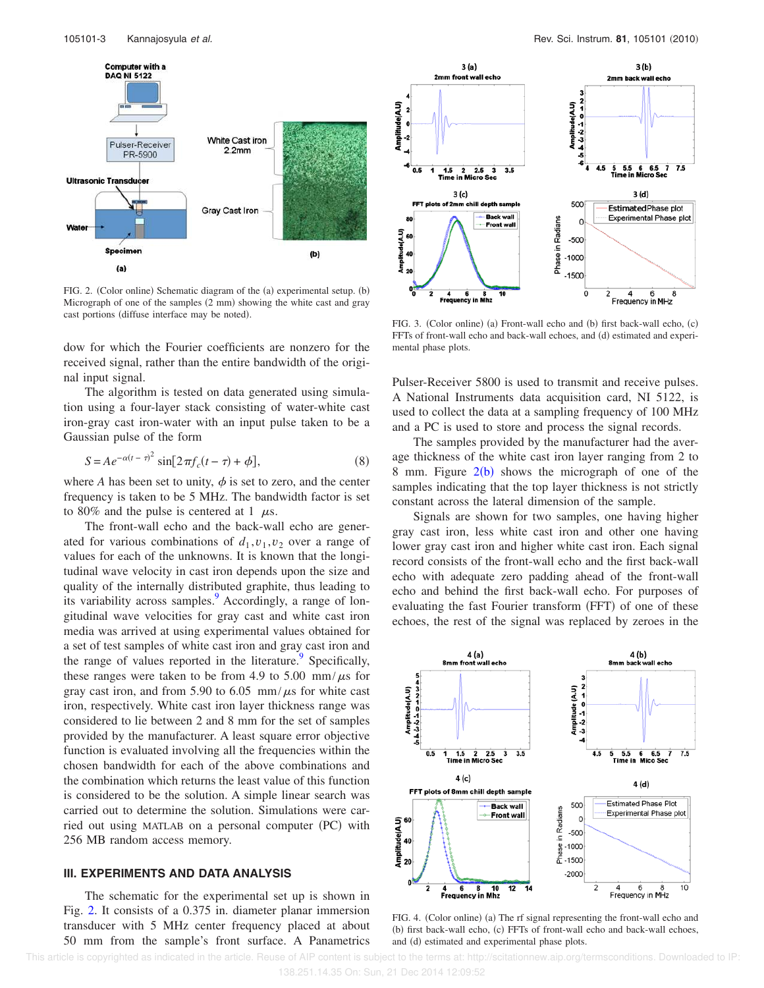

FIG. 2. (Color online) Schematic diagram of the (a) experimental setup. (b) Micrograph of one of the samples (2 mm) showing the white cast and gray cast portions (diffuse interface may be noted).

dow for which the Fourier coefficients are nonzero for the received signal, rather than the entire bandwidth of the original input signal.

The algorithm is tested on data generated using simulation using a four-layer stack consisting of water-white cast iron-gray cast iron-water with an input pulse taken to be a Gaussian pulse of the form

$$
S = Ae^{-\alpha(t-\tau)^2} \sin[2\pi f_c(t-\tau) + \phi],
$$
\n(8)

where *A* has been set to unity,  $\phi$  is set to zero, and the center frequency is taken to be 5 MHz. The bandwidth factor is set to 80% and the pulse is centered at 1  $\mu$ s.

The front-wall echo and the back-wall echo are generated for various combinations of  $d_1$ ,  $v_1$ ,  $v_2$  over a range of values for each of the unknowns. It is known that the longitudinal wave velocity in cast iron depends upon the size and quality of the internally distributed graphite, thus leading to its variability across samples.<sup>9</sup> Accordingly, a range of longitudinal wave velocities for gray cast and white cast iron media was arrived at using experimental values obtained for a set of test samples of white cast iron and gray cast iron and the range of values reported in the literature.<sup>9</sup> Specifically, these ranges were taken to be from 4.9 to 5.00 mm/ $\mu$ s for gray cast iron, and from 5.90 to 6.05 mm/ $\mu$ s for white cast iron, respectively. White cast iron layer thickness range was considered to lie between 2 and 8 mm for the set of samples provided by the manufacturer. A least square error objective function is evaluated involving all the frequencies within the chosen bandwidth for each of the above combinations and the combination which returns the least value of this function is considered to be the solution. A simple linear search was carried out to determine the solution. Simulations were carried out using MATLAB on a personal computer (PC) with 256 MB random access memory.

## **III. EXPERIMENTS AND DATA ANALYSIS**

The schematic for the experimental set up is shown in Fig. 2. It consists of a 0.375 in. diameter planar immersion transducer with 5 MHz center frequency placed at about 50 mm from the sample's front surface. A Panametrics



FIG. 3. (Color online) (a) Front-wall echo and (b) first back-wall echo, (c) FFTs of front-wall echo and back-wall echoes, and (d) estimated and experimental phase plots.

Pulser-Receiver 5800 is used to transmit and receive pulses. A National Instruments data acquisition card, NI 5122, is used to collect the data at a sampling frequency of 100 MHz and a PC is used to store and process the signal records.

The samples provided by the manufacturer had the average thickness of the white cast iron layer ranging from 2 to 8 mm. Figure  $2(b)$  shows the micrograph of one of the samples indicating that the top layer thickness is not strictly constant across the lateral dimension of the sample.

Signals are shown for two samples, one having higher gray cast iron, less white cast iron and other one having lower gray cast iron and higher white cast iron. Each signal record consists of the front-wall echo and the first back-wall echo with adequate zero padding ahead of the front-wall echo and behind the first back-wall echo. For purposes of evaluating the fast Fourier transform (FFT) of one of these echoes, the rest of the signal was replaced by zeroes in the



FIG. 4. (Color online) (a) The rf signal representing the front-wall echo and (b) first back-wall echo, (c) FFTs of front-wall echo and back-wall echoes, and (d) estimated and experimental phase plots.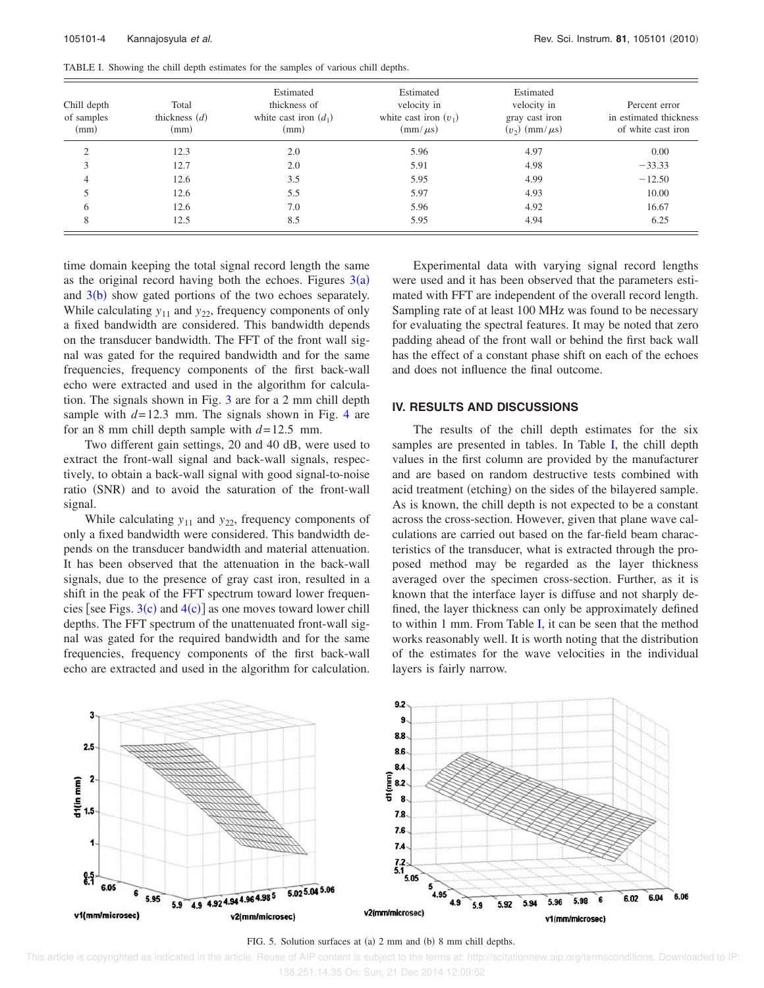| Chill depth<br>of samples<br>(mm) | Total<br>thickness $(d)$<br>(mm) | Estimated<br>thickness of<br>white cast iron $(d_1)$<br>(mm) | Estimated<br>velocity in<br>white cast iron $(v_1)$<br>$\left(\frac{mm}{\mu s}\right)$ | Estimated<br>velocity in<br>gray cast iron<br>$(v_2)$ (mm/ $\mu$ s) | Percent error<br>in estimated thickness<br>of white cast iron |
|-----------------------------------|----------------------------------|--------------------------------------------------------------|----------------------------------------------------------------------------------------|---------------------------------------------------------------------|---------------------------------------------------------------|
| 2                                 | 12.3                             | 2.0                                                          | 5.96                                                                                   | 4.97                                                                | 0.00                                                          |
| 3                                 | 12.7                             | 2.0                                                          | 5.91                                                                                   | 4.98                                                                | $-33.33$                                                      |
| $\overline{4}$                    | 12.6                             | 3.5                                                          | 5.95                                                                                   | 4.99                                                                | $-12.50$                                                      |
| 5                                 | 12.6                             | 5.5                                                          | 5.97                                                                                   | 4.93                                                                | 10.00                                                         |
| 6                                 | 12.6                             | 7.0                                                          | 5.96                                                                                   | 4.92                                                                | 16.67                                                         |
| 8                                 | 12.5                             | 8.5                                                          | 5.95                                                                                   | 4.94                                                                | 6.25                                                          |

TABLE I. Showing the chill depth estimates for the samples of various chill depths.

time domain keeping the total signal record length the same as the original record having both the echoes. Figures  $3(a)$ and  $3(b)$  show gated portions of the two echoes separately. While calculating  $y_{11}$  and  $y_{22}$ , frequency components of only a fixed bandwidth are considered. This bandwidth depends on the transducer bandwidth. The FFT of the front wall signal was gated for the required bandwidth and for the same frequencies, frequency components of the first back-wall echo were extracted and used in the algorithm for calculation. The signals shown in Fig. 3 are for a 2 mm chill depth sample with  $d = 12.3$  mm. The signals shown in Fig. 4 are for an 8 mm chill depth sample with *d*= 12.5 mm.

Two different gain settings, 20 and 40 dB, were used to extract the front-wall signal and back-wall signals, respectively, to obtain a back-wall signal with good signal-to-noise ratio (SNR) and to avoid the saturation of the front-wall signal.

While calculating  $y_{11}$  and  $y_{22}$ , frequency components of only a fixed bandwidth were considered. This bandwidth depends on the transducer bandwidth and material attenuation. It has been observed that the attenuation in the back-wall signals, due to the presence of gray cast iron, resulted in a shift in the peak of the FFT spectrum toward lower frequencies [see Figs.  $3(c)$  and  $4(c)$ ] as one moves toward lower chill depths. The FFT spectrum of the unattenuated front-wall signal was gated for the required bandwidth and for the same frequencies, frequency components of the first back-wall echo are extracted and used in the algorithm for calculation.

Experimental data with varying signal record lengths were used and it has been observed that the parameters estimated with FFT are independent of the overall record length. Sampling rate of at least 100 MHz was found to be necessary for evaluating the spectral features. It may be noted that zero padding ahead of the front wall or behind the first back wall has the effect of a constant phase shift on each of the echoes and does not influence the final outcome.

#### **IV. RESULTS AND DISCUSSIONS**

The results of the chill depth estimates for the six samples are presented in tables. In Table I, the chill depth values in the first column are provided by the manufacturer and are based on random destructive tests combined with acid treatment (etching) on the sides of the bilayered sample. As is known, the chill depth is not expected to be a constant across the cross-section. However, given that plane wave calculations are carried out based on the far-field beam characteristics of the transducer, what is extracted through the proposed method may be regarded as the layer thickness averaged over the specimen cross-section. Further, as it is known that the interface layer is diffuse and not sharply defined, the layer thickness can only be approximately defined to within 1 mm. From Table I, it can be seen that the method works reasonably well. It is worth noting that the distribution of the estimates for the wave velocities in the individual layers is fairly narrow.





This article is copyrighted as indicated in the article. Reuse of AIP content is subject to the terms at: http://scitationnew.aip.org/termsconditions. Downloaded to IP: 138.251.14.35 On: Sun, 21 Dec 2014 12:09:52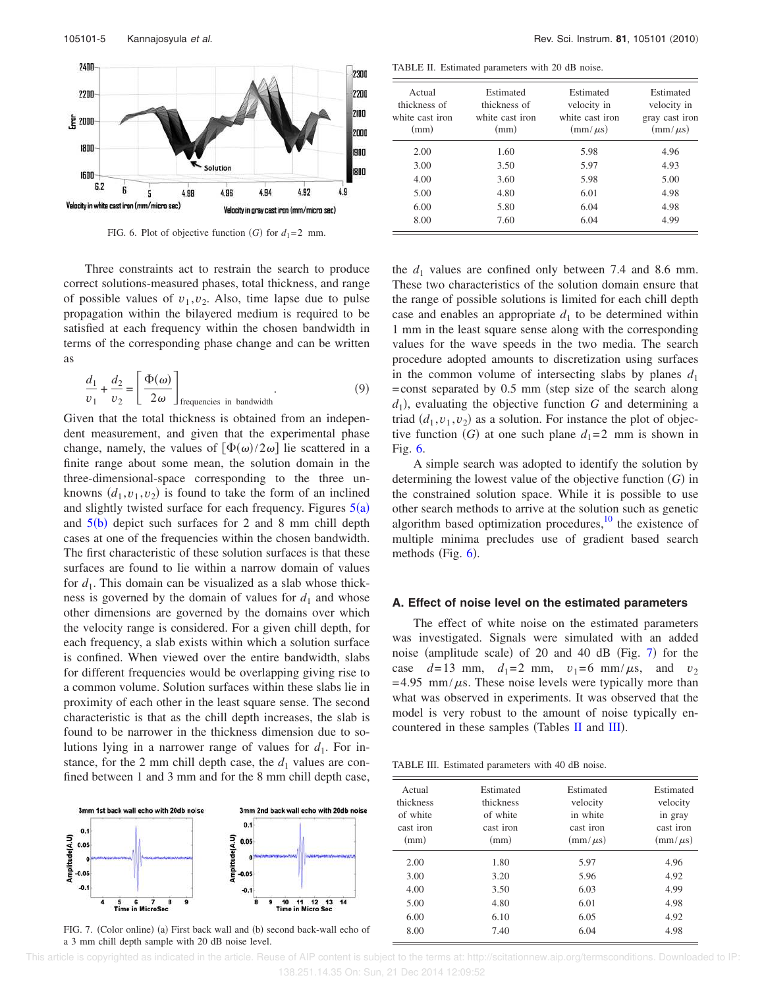

FIG. 6. Plot of objective function  $(G)$  for  $d_1 = 2$  mm.

Three constraints act to restrain the search to produce correct solutions-measured phases, total thickness, and range of possible values of  $v_1, v_2$ . Also, time lapse due to pulse propagation within the bilayered medium is required to be satisfied at each frequency within the chosen bandwidth in terms of the corresponding phase change and can be written as

$$
\frac{d_1}{v_1} + \frac{d_2}{v_2} = \left[\frac{\Phi(\omega)}{2\omega}\right]_{\text{frequencies in bandwidth}}.\tag{9}
$$

Given that the total thickness is obtained from an independent measurement, and given that the experimental phase change, namely, the values of  $[\Phi(\omega)/2\omega]$  lie scattered in a finite range about some mean, the solution domain in the three-dimensional-space corresponding to the three unknowns  $(d_1, v_1, v_2)$  is found to take the form of an inclined and slightly twisted surface for each frequency. Figures  $5(a)$ and  $5(b)$  depict such surfaces for 2 and 8 mm chill depth cases at one of the frequencies within the chosen bandwidth. The first characteristic of these solution surfaces is that these surfaces are found to lie within a narrow domain of values for  $d_1$ . This domain can be visualized as a slab whose thickness is governed by the domain of values for  $d_1$  and whose other dimensions are governed by the domains over which the velocity range is considered. For a given chill depth, for each frequency, a slab exists within which a solution surface is confined. When viewed over the entire bandwidth, slabs for different frequencies would be overlapping giving rise to a common volume. Solution surfaces within these slabs lie in proximity of each other in the least square sense. The second characteristic is that as the chill depth increases, the slab is found to be narrower in the thickness dimension due to solutions lying in a narrower range of values for  $d_1$ . For instance, for the 2 mm chill depth case, the  $d_1$  values are confined between 1 and 3 mm and for the 8 mm chill depth case,



FIG. 7. (Color online) (a) First back wall and (b) second back-wall echo of a 3 mm chill depth sample with 20 dB noise level.

TABLE II. Estimated parameters with 20 dB noise.

| Actual<br>thickness of<br>white cast iron<br>(mm) | Estimated<br>thickness of<br>white cast iron<br>(mm) | Estimated<br>velocity in<br>white cast iron<br>$\left(\frac{mm}{\mu s}\right)$ | Estimated<br>velocity in<br>gray cast iron<br>$\left(\frac{mm}{\mu s}\right)$ |
|---------------------------------------------------|------------------------------------------------------|--------------------------------------------------------------------------------|-------------------------------------------------------------------------------|
| 2.00                                              | 1.60                                                 | 5.98                                                                           | 4.96                                                                          |
| 3.00                                              | 3.50                                                 | 5.97                                                                           | 4.93                                                                          |
| 4.00                                              | 3.60                                                 | 5.98                                                                           | 5.00                                                                          |
| 5.00                                              | 4.80                                                 | 6.01                                                                           | 4.98                                                                          |
| 6.00                                              | 5.80                                                 | 6.04                                                                           | 4.98                                                                          |
| 8.00                                              | 7.60                                                 | 6.04                                                                           | 4.99                                                                          |

the  $d_1$  values are confined only between 7.4 and 8.6 mm. These two characteristics of the solution domain ensure that the range of possible solutions is limited for each chill depth case and enables an appropriate  $d_1$  to be determined within 1 mm in the least square sense along with the corresponding values for the wave speeds in the two media. The search procedure adopted amounts to discretization using surfaces in the common volume of intersecting slabs by planes  $d_1$ =const separated by 0.5 mm (step size of the search along  $d_1$ ), evaluating the objective function *G* and determining a triad  $(d_1, v_1, v_2)$  as a solution. For instance the plot of objective function (G) at one such plane  $d_1 = 2$  mm is shown in Fig. 6.

A simple search was adopted to identify the solution by determining the lowest value of the objective function  $(G)$  in the constrained solution space. While it is possible to use other search methods to arrive at the solution such as genetic algorithm based optimization procedures,<sup>10</sup> the existence of multiple minima precludes use of gradient based search methods (Fig.  $6$ ).

#### **A. Effect of noise level on the estimated parameters**

The effect of white noise on the estimated parameters was investigated. Signals were simulated with an added noise (amplitude scale) of 20 and 40 dB (Fig.  $7$ ) for the case  $d=13$  mm,  $d_1=2$  mm,  $v_1=6$  mm/ $\mu$ s, and  $v_2$  $= 4.95$  mm/ $\mu$ s. These noise levels were typically more than what was observed in experiments. It was observed that the model is very robust to the amount of noise typically encountered in these samples (Tables  $II$  and  $III$ ).

TABLE III. Estimated parameters with 40 dB noise.

| Actual<br>thickness<br>of white<br>cast iron<br>(mm) | Estimated<br>thickness<br>of white<br>cast iron<br>(mm) | Estimated<br>velocity<br>in white<br>cast iron<br>$\left(\frac{mm}{\mu s}\right)$ | Estimated<br>velocity<br>in gray<br>cast iron<br>$\left(\frac{mm}{\mu s}\right)$ |
|------------------------------------------------------|---------------------------------------------------------|-----------------------------------------------------------------------------------|----------------------------------------------------------------------------------|
| 2.00                                                 | 1.80                                                    | 5.97                                                                              | 4.96                                                                             |
| 3.00                                                 | 3.20                                                    | 5.96                                                                              | 4.92                                                                             |
| 4.00                                                 | 3.50                                                    | 6.03                                                                              | 4.99                                                                             |
| 5.00                                                 | 4.80                                                    | 6.01                                                                              | 4.98                                                                             |
| 6.00                                                 | 6.10                                                    | 6.05                                                                              | 4.92                                                                             |
| 8.00                                                 | 7.40                                                    | 6.04                                                                              | 4.98                                                                             |

 This article is copyrighted as indicated in the article. Reuse of AIP content is subject to the terms at: http://scitationnew.aip.org/termsconditions. Downloaded to IP: 138.251.14.35 On: Sun, 21 Dec 2014 12:09:52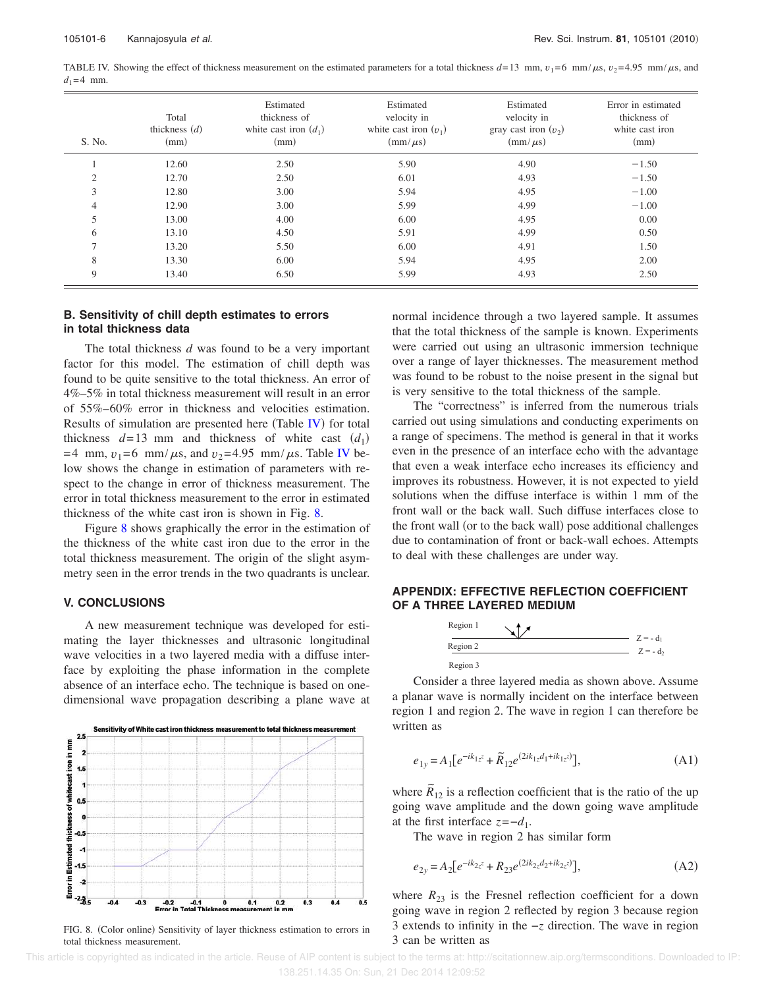TABLE IV. Showing the effect of thickness measurement on the estimated parameters for a total thickness  $d=13$  mm,  $v_1=6$  mm/ $\mu$ s,  $v_2=4.95$  mm/ $\mu$ s, and  $d_1 = 4$  mm.

| S. No.         | Total<br>thickness $(d)$<br>(mm) | Estimated<br>thickness of<br>white cast iron $(d_1)$<br>(mm) | Estimated<br>velocity in<br>white cast iron $(v_1)$<br>$\left(\frac{mm}{\mu s}\right)$ | Estimated<br>velocity in<br>gray cast iron $(v_2)$<br>$\left(\frac{mm}{\mu s}\right)$ | Error in estimated<br>thickness of<br>white cast iron<br>(mm) |
|----------------|----------------------------------|--------------------------------------------------------------|----------------------------------------------------------------------------------------|---------------------------------------------------------------------------------------|---------------------------------------------------------------|
|                | 12.60                            | 2.50                                                         | 5.90                                                                                   | 4.90                                                                                  | $-1.50$                                                       |
| $\overline{2}$ | 12.70                            | 2.50                                                         | 6.01                                                                                   | 4.93                                                                                  | $-1.50$                                                       |
| 3              | 12.80                            | 3.00                                                         | 5.94                                                                                   | 4.95                                                                                  | $-1.00$                                                       |
| 4              | 12.90                            | 3.00                                                         | 5.99                                                                                   | 4.99                                                                                  | $-1.00$                                                       |
| 5              | 13.00                            | 4.00                                                         | 6.00                                                                                   | 4.95                                                                                  | 0.00                                                          |
| 6              | 13.10                            | 4.50                                                         | 5.91                                                                                   | 4.99                                                                                  | 0.50                                                          |
| ⇁              | 13.20                            | 5.50                                                         | 6.00                                                                                   | 4.91                                                                                  | 1.50                                                          |
| 8              | 13.30                            | 6.00                                                         | 5.94                                                                                   | 4.95                                                                                  | 2.00                                                          |
| 9              | 13.40                            | 6.50                                                         | 5.99                                                                                   | 4.93                                                                                  | 2.50                                                          |

### **B. Sensitivity of chill depth estimates to errors in total thickness data**

The total thickness *d* was found to be a very important factor for this model. The estimation of chill depth was found to be quite sensitive to the total thickness. An error of 4%–5% in total thickness measurement will result in an error of 55%–60% error in thickness and velocities estimation. Results of simulation are presented here (Table IV) for total thickness  $d=13$  mm and thickness of white cast  $(d_1)$  $= 4$  mm,  $v_1=6$  mm/ $\mu$ s, and  $v_2=4.95$  mm/ $\mu$ s. Table IV below shows the change in estimation of parameters with respect to the change in error of thickness measurement. The error in total thickness measurement to the error in estimated thickness of the white cast iron is shown in Fig. 8.

Figure 8 shows graphically the error in the estimation of the thickness of the white cast iron due to the error in the total thickness measurement. The origin of the slight asymmetry seen in the error trends in the two quadrants is unclear.

## **V. CONCLUSIONS**

A new measurement technique was developed for estimating the layer thicknesses and ultrasonic longitudinal wave velocities in a two layered media with a diffuse interface by exploiting the phase information in the complete absence of an interface echo. The technique is based on onedimensional wave propagation describing a plane wave at



FIG. 8. (Color online) Sensitivity of layer thickness estimation to errors in total thickness measurement.

normal incidence through a two layered sample. It assumes that the total thickness of the sample is known. Experiments were carried out using an ultrasonic immersion technique over a range of layer thicknesses. The measurement method was found to be robust to the noise present in the signal but is very sensitive to the total thickness of the sample.

The "correctness" is inferred from the numerous trials carried out using simulations and conducting experiments on a range of specimens. The method is general in that it works even in the presence of an interface echo with the advantage that even a weak interface echo increases its efficiency and improves its robustness. However, it is not expected to yield solutions when the diffuse interface is within 1 mm of the front wall or the back wall. Such diffuse interfaces close to the front wall (or to the back wall) pose additional challenges due to contamination of front or back-wall echoes. Attempts to deal with these challenges are under way.

### **APPENDIX: EFFECTIVE REFLECTION COEFFICIENT OF A THREE LAYERED MEDIUM**



Consider a three layered media as shown above. Assume a planar wave is normally incident on the interface between region 1 and region 2. The wave in region 1 can therefore be written as

$$
e_{1y} = A_1 [e^{-ik_{1z}z} + \tilde{R}_{12} e^{(2ik_{1z}d_1 + ik_{1z}z)}],
$$
 (A1)

where  $\tilde{R}_{12}$  is a reflection coefficient that is the ratio of the up going wave amplitude and the down going wave amplitude at the first interface  $z=-d_1$ .

The wave in region 2 has similar form

$$
e_{2y} = A_2 \left[ e^{-ik_{2z}z} + R_{23} e^{(2ik_{2z}dz + ik_{2z}z)} \right],\tag{A2}
$$

where  $R_{23}$  is the Fresnel reflection coefficient for a down going wave in region 2 reflected by region 3 because region 3 extends to infinity in the −*z* direction. The wave in region 3 can be written as

 This article is copyrighted as indicated in the article. Reuse of AIP content is subject to the terms at: http://scitationnew.aip.org/termsconditions. Downloaded to IP: 138.251.14.35 On: Sun, 21 Dec 2014 12:09:52